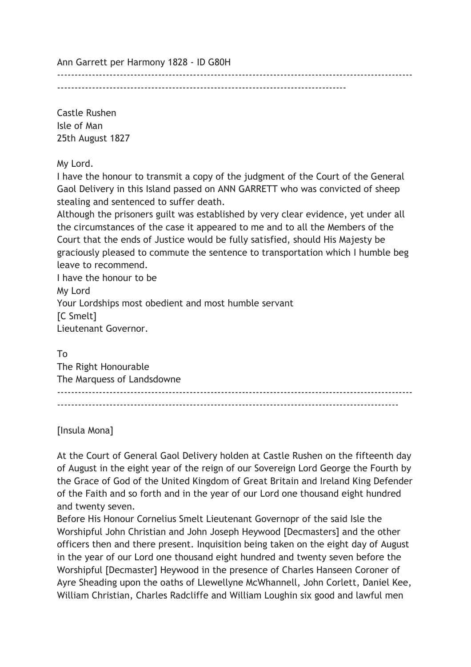Ann Garrett per Harmony 1828 - ID G80H

-----------------------------------------------------------------------------------

Castle Rushen Isle of Man 25th August 1827

My Lord.

I have the honour to transmit a copy of the judgment of the Court of the General Gaol Delivery in this Island passed on ANN GARRETT who was convicted of sheep stealing and sentenced to suffer death.

------------------------------------------------------------------------------------------------------

Although the prisoners guilt was established by very clear evidence, yet under all the circumstances of the case it appeared to me and to all the Members of the Court that the ends of Justice would be fully satisfied, should His Majesty be graciously pleased to commute the sentence to transportation which I humble beg leave to recommend.

I have the honour to be My Lord Your Lordships most obedient and most humble servant [C Smelt] Lieutenant Governor.

To

The Right Honourable The Marquess of Landsdowne ------------------------------------------------------------------------------------------------------ --------------------------------------------------------------------------------------------------

[Insula Mona]

At the Court of General Gaol Delivery holden at Castle Rushen on the fifteenth day of August in the eight year of the reign of our Sovereign Lord George the Fourth by the Grace of God of the United Kingdom of Great Britain and Ireland King Defender of the Faith and so forth and in the year of our Lord one thousand eight hundred and twenty seven.

Before His Honour Cornelius Smelt Lieutenant Governopr of the said Isle the Worshipful John Christian and John Joseph Heywood [Decmasters] and the other officers then and there present. Inquisition being taken on the eight day of August in the year of our Lord one thousand eight hundred and twenty seven before the Worshipful [Decmaster] Heywood in the presence of Charles Hanseen Coroner of Ayre Sheading upon the oaths of Llewellyne McWhannell, John Corlett, Daniel Kee, William Christian, Charles Radcliffe and William Loughin six good and lawful men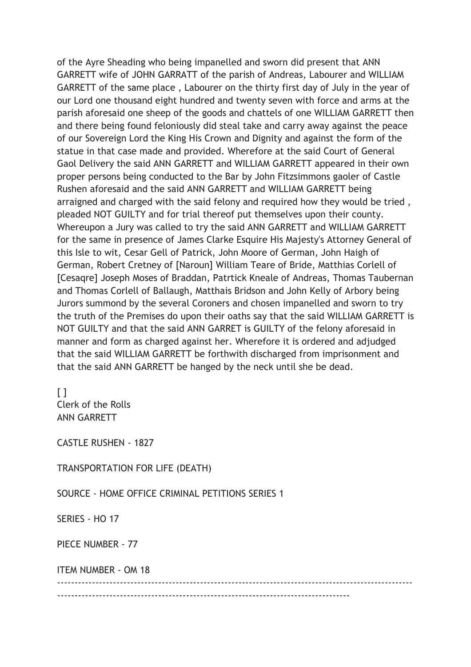of the Ayre Sheading who being impanelled and sworn did present that ANN GARRETT wife of JOHN GARRATT of the parish of Andreas, Labourer and WILLIAM GARRETT of the same place , Labourer on the thirty first day of July in the year of our Lord one thousand eight hundred and twenty seven with force and arms at the parish aforesaid one sheep of the goods and chattels of one WILLIAM GARRETT then and there being found feloniously did steal take and carry away against the peace of our Sovereign Lord the King His Crown and Dignity and against the form of the statue in that case made and provided. Wherefore at the said Court of General Gaol Delivery the said ANN GARRETT and WILLIAM GARRETT appeared in their own proper persons being conducted to the Bar by John Fitzsimmons gaoler of Castle Rushen aforesaid and the said ANN GARRETT and WILLIAM GARRETT being arraigned and charged with the said felony and required how they would be tried , pleaded NOT GUILTY and for trial thereof put themselves upon their county. Whereupon a Jury was called to try the said ANN GARRETT and WILLIAM GARRETT for the same in presence of James Clarke Esquire His Majesty's Attorney General of this Isle to wit, Cesar Gell of Patrick, John Moore of German, John Haigh of German, Robert Cretney of [Naroun] William Teare of Bride, Matthias Corlell of [Cesaqre] Joseph Moses of Braddan, Patrtick Kneale of Andreas, Thomas Taubernan and Thomas Corlell of Ballaugh, Matthais Bridson and John Kelly of Arbory being Jurors summond by the several Coroners and chosen impanelled and sworn to try the truth of the Premises do upon their oaths say that the said WILLIAM GARRETT is NOT GUILTY and that the said ANN GARRET is GUILTY of the felony aforesaid in manner and form as charged against her. Wherefore it is ordered and adjudged that the said WILLIAM GARRETT be forthwith discharged from imprisonment and that the said ANN GARRETT be hanged by the neck until she be dead.

 $\lceil$   $\rceil$ Clerk of the Rolls ANN GARRETT

CASTLE RUSHEN - 1827

TRANSPORTATION FOR LIFE (DEATH)

SOURCE - HOME OFFICE CRIMINAL PETITIONS SERIES 1

SERIES - HO 17

PIECE NUMBER - 77

ITEM NUMBER - OM 18

------------------------------------------------------------------------------------------------------ ------------------------------------------------------------------------------------